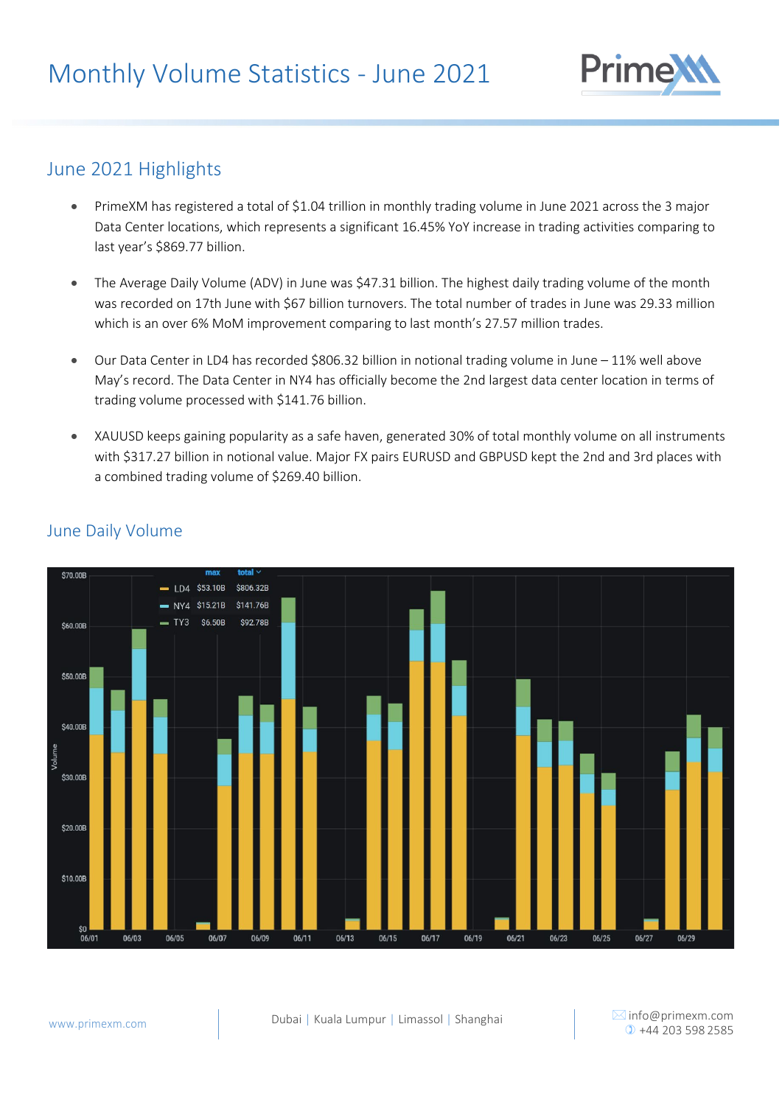

## June 2021 Highlights

- PrimeXM has registered a total of \$1.04 trillion in monthly trading volume in June 2021 across the 3 major Data Center locations, which represents a significant 16.45% YoY increase in trading activities comparing to last year's \$869.77 billion.
- The Average Daily Volume (ADV) in June was \$47.31 billion. The highest daily trading volume of the month was recorded on 17th June with \$67 billion turnovers. The total number of trades in June was 29.33 million which is an over 6% MoM improvement comparing to last month's 27.57 million trades.
- Our Data Center in LD4 has recorded \$806.32 billion in notional trading volume in June 11% well above May's record. The Data Center in NY4 has officially become the 2nd largest data center location in terms of trading volume processed with \$141.76 billion.
- XAUUSD keeps gaining popularity as a safe haven, generated 30% of total monthly volume on all instruments with \$317.27 billion in notional value. Major FX pairs EURUSD and GBPUSD kept the 2nd and 3rd places with a combined trading volume of \$269.40 billion.



## June Daily Volume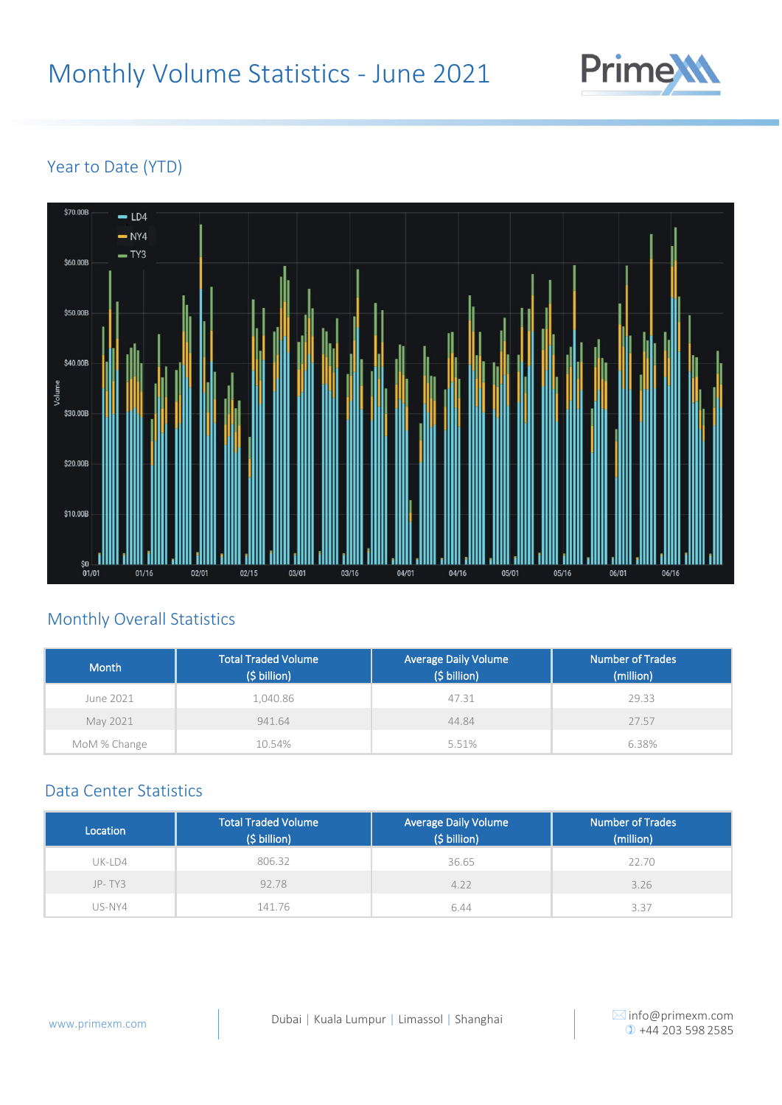

## Year to Date (YTD)



# Monthly Overall Statistics

| Month        | Total Traded Volume<br>(\$ billion) | <b>Average Daily Volume</b><br>$(S$ billion) | <b>Number of Trades</b><br>(million) |
|--------------|-------------------------------------|----------------------------------------------|--------------------------------------|
| June 2021    | 1,040.86                            | 47.31                                        | 29.33                                |
| May 2021     | 941.64                              | 44.84                                        | 27.57                                |
| MoM % Change | 10.54%                              | 5.51%                                        | 6.38%                                |

#### Data Center Statistics

| Location | <b>Total Traded Volume</b><br>(\$ billion) | <b>Average Daily Volume</b><br>(\$ billion) | <b>Number of Trades</b><br>(million) |
|----------|--------------------------------------------|---------------------------------------------|--------------------------------------|
| $UK-LD4$ | 806.32                                     | 36.65                                       | 22.70                                |
| $JP-TY3$ | 92.78                                      | 4.22                                        | 3.26                                 |
| US-NY4   | 141.76                                     | 6.44                                        | 3.37                                 |